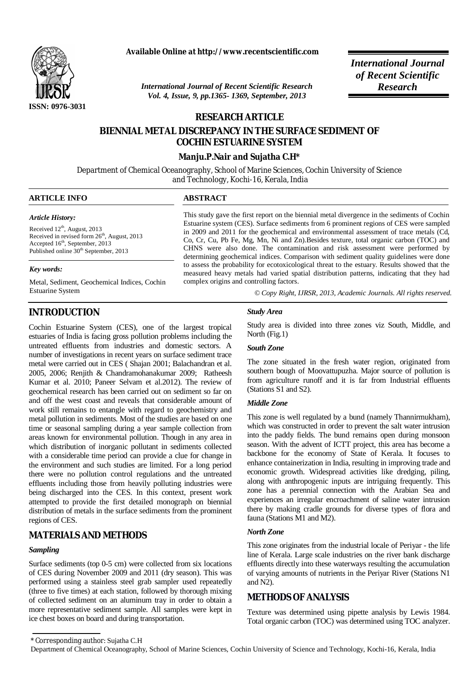

**Available Online at http://www.recentscientific.com**

*International Journal of Recent Scientific Research Research Vol. 4, Issue, 9, pp.1365- 1369, September, 2013*

*International Journal of Recent Scientific* 

# **RESEARCH ARTICLE**

# **BIENNIAL METAL DISCREPANCY IN THE SURFACE SEDIMENT OF COCHIN ESTUARINE SYSTEM**

## **Manju.P.Nair and Sujatha C.H\***

Department of Chemical Oceanography, School of Marine Sciences, Cochin University of Science and Technology, Kochi-16, Kerala, India

## **ARTICLE INFO ABSTRACT**

*Article History:*

Received  $12<sup>th</sup>$ , August, 2013 Received in revised form  $26<sup>th</sup>$ , August, 2013 Accepted 16<sup>th</sup>, September, 2013 Published online 30<sup>th</sup> September, 2013

#### *Key words:*

Metal, Sediment, Geochemical Indices, Cochin Estuarine System

# **INTRODUCTION**

Cochin Estuarine System (CES), one of the largest tropical estuaries of India is facing gross pollution problems including the untreated effluents from industries and domestic sectors. A number of investigations in recent years on surface sediment trace metal were carried out in CES ( Shajan 2001; Balachandran et al. 2005, 2006; Renjith & Chandramohanakumar 2009; Ratheesh Kumar et al. 2010; Paneer Selvam et al.2012). The review of geochemical research has been carried out on sediment so far on and off the west coast and reveals that considerable amount of work still remains to entangle with regard to geochemistry and metal pollution in sediments. Most of the studies are based on one time or seasonal sampling during a year sample collection from areas known for environmental pollution. Though in any area in which distribution of inorganic pollutant in sediments collected with a considerable time period can provide a clue for change in the environment and such studies are limited. For a long period there were no pollution control regulations and the untreated effluents including those from heavily polluting industries were being discharged into the CES. In this context, present work attempted to provide the first detailed monograph on biennial distribution of metals in the surface sediments from the prominent regions of CES.

## **MATERIALS AND METHODS**

# *Sampling*

Surface sediments (top 0-5 cm) were collected from six locations of CES during November 2009 and 2011 (dry season). This was performed using a stainless steel grab sampler used repeatedly (three to five times) at each station, followed by thorough mixing of collected sediment on an aluminum tray in order to obtain a more representative sediment sample. All samples were kept in ice chest boxes on board and during transportation.

This study gave the first report on the biennial metal divergence in the sediments of Cochin Estuarine system (CES). Surface sediments from 6 prominent regions of CES were sampled in 2009 and 2011 for the geochemical and environmental assessment of trace metals (Cd, Co, Cr, Cu, Pb Fe, Mg, Mn, Ni and Zn).Besides texture, total organic carbon (TOC) and CHNS were also done. The contamination and risk assessment were performed by determining geochemical indices. Comparison with sediment quality guidelines were done to assess the probability for ecotoxicological threat to the estuary. Results showed that the measured heavy metals had varied spatial distribution patterns, indicating that they had complex origins and controlling factors.

 *© Copy Right, IJRSR, 2013, Academic Journals. All rights reserved.* 

### *Study Area*

Study area is divided into three zones viz South, Middle, and North (Fig.1)

## *South Zone*

The zone situated in the fresh water region, originated from southern bough of Moovattupuzha. Major source of pollution is from agriculture runoff and it is far from Industrial effluents (Stations S1 and S2).

#### *Middle Zone*

This zone is well regulated by a bund (namely Thannirmukham), which was constructed in order to prevent the salt water intrusion into the paddy fields. The bund remains open during monsoon season. With the advent of ICTT project, this area has become a backbone for the economy of State of Kerala. It focuses to enhance containerization in India, resulting in improving trade and economic growth. Widespread activities like dredging, piling, along with anthropogenic inputs are intriguing frequently. This zone has a perennial connection with the Arabian Sea and experiences an irregular encroachment of saline water intrusion there by making cradle grounds for diverse types of flora and fauna (Stations M1 and M2).

## *North Zone*

This zone originates from the industrial locale of Periyar - the life line of Kerala. Large scale industries on the river bank discharge effluents directly into these waterways resulting the accumulation of varying amounts of nutrients in the Periyar River (Stations N1 and N2).

## **METHODS OF ANALYSIS**

Texture was determined using pipette analysis by Lewis 1984. Total organic carbon (TOC) was determined using TOC analyzer.

<sup>\*</sup> Corresponding author: Sujatha C.H

Department of Chemical Oceanography, School of Marine Sciences, Cochin University of Science and Technology, Kochi-16, Kerala, India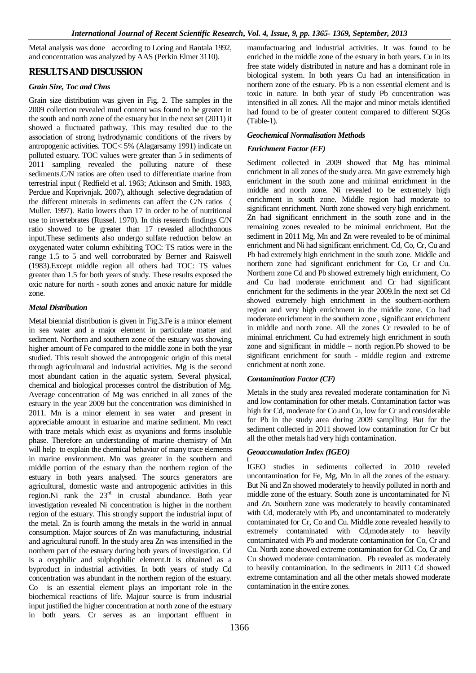Metal analysis was done according to Loring and Rantala 1992, and concentration was analyzed by AAS (Perkin Elmer 3110).

# **RESULTS AND DISCUSSION**

## *Grain Size, Toc and Chns*

Grain size distribution was given in Fig. 2. The samples in the 2009 collection revealed mud content was found to be greater in the south and north zone of the estuary but in the next set (2011) it showed a fluctuated pathway. This may resulted due to the association of strong hydrodynamic conditions of the rivers by antropogenic activities. TOC< 5% (Alagarsamy 1991) indicate un polluted estuary. TOC values were greater than 5 in sediments of 2011 sampling revealed the polluting nature of these sediments.C/N ratios are often used to differentiate marine from terrestrial input ( Redfield et al. 1963; Atkinson and Smith. 1983, Perdue and Koprivnjak. 2007), although selective degradation of the different minerals in sediments can affect the C/N ratios ( Muller. 1997). Ratio lowers than 17 in order to be of nutritional use to invertebrates (Russel. 1970). In this research findings C/N ratio showed to be greater than 17 revealed allochthonous input.These sediments also undergo sulfate reduction below an oxygenated water column exhibiting TOC: TS ratios were in the range 1.5 to 5 and well corroborated by Berner and Raiswell (1983).Except middle region all others had TOC: TS values greater than 1.5 for both years of study. These results exposed the oxic nature for north - south zones and anoxic nature for middle zone.

## *Metal Distribution*

Metal biennial distribution is given in Fig.3**.**Fe is a minor element in sea water and a major element in particulate matter and sediment. Northern and southern zone of the estuary was showing higher amount of Fe compared to the middle zone in both the year studied. This result showed the antropogenic origin of this metal through agricultuaral and industrial activities. Mg is the second most abundant cation in the aquatic system. Several physical, chemical and biological processes control the distribution of Mg. Average concentration of Mg was enriched in all zones of the estuary in the year 2009 but the concentration was diminished in 2011. Mn is a minor element in sea water and present in appreciable amount in estuarine and marine sediment. Mn react with trace metals which exist as oxyanions and forms insoluble phase. Therefore an understanding of marine chemistry of Mn will help to explain the chemical behavior of many trace elements in marine environment. Mn was greater in the southern and middle portion of the estuary than the northern region of the estuary in both years analysed. The sourcs generators are agricultural, domestic waste and antropogenic activities in this region.Ni rank the  $23<sup>rd</sup>$  in crustal abundance. Both year investigation revealed Ni concentration is higher in the northern region of the estuary. This strongly support the industrial input of the metal. Zn is fourth among the metals in the world in annual consumption. Major sources of Zn was manufacturing, industrial and agricultural runoff. In the study area Zn was intensified in the northern part of the estuary during both years of investigation. Cd is a oxyphilic and sulphophilic element.It is obtained as a byproduct in industrial activities. In both years of study Cd concentration was abundant in the northern region of the estuary. Co is an essential element plays an important role in the biochemical reactions of life. Majour source is from industrial input justified the higher concentration at north zone of the estuary in both years. Cr serves as an important effluent in manufactuaring and industrial activities. It was found to be enriched in the middle zone of the estuary in both years. Cu in its free state widely distributed in nature and has a dominant role in biological system. In both years Cu had an intensification in northern zone of the estuary. Pb is a non essential element and is toxic in nature. In both year of study Pb concentration was intensified in all zones. All the major and minor metals identified had found to be of greater content compared to different SQGs (Table-1).

## *Geochemical Normalisation Methods*

## *Enrichment Factor (EF)*

Sediment collected in 2009 showed that Mg has minimal enrichment in all zones of the study area. Mn gave extremely high enrichment in the south zone and minimal enrichment in the middle and north zone. Ni revealed to be extremely high enrichment in south zone. Middle region had moderate to significant enrichment. North zone showed very high enrichment. Zn had significant enrichment in the south zone and in the remaining zones revealed to be minimal enrichment. But the sediment in 2011 Mg, Mn and Zn were revealed to be of minimal enrichment and Ni had significant enrichment. Cd, Co, Cr, Cu and Pb had extremely high enrichment in the south zone. Middle and northern zone had significant enrichment for Co, Cr and Cu. Northern zone Cd and Pb showed extremely high enrichment, Co and Cu had moderate enrichment and Cr had significant enrichment for the sediments in the year 2009.In the next set Cd showed extremely high enrichment in the southern-northern region and very high enrichment in the middle zone. Co had moderate enrichment in the southern zone , significant enrichment in middle and north zone. All the zones Cr revealed to be of minimal enrichment. Cu had extremely high enrichment in south zone and significant in middle – north region.Pb showed to be significant enrichment for south - middle region and extreme enrichment at north zone.

## *Contamination Factor (CF)*

Metals in the study area revealed moderate contamination for Ni and low contamination for other metals. Contamination factor was high for Cd, moderate for Co and Cu, low for Cr and considerable for Pb in the study area during 2009 samplling. But for the sediment collected in 2011 showed low contamination for Cr but all the other metals had very high contamination.

## *Geoaccumulation Index (IGEO)*

**[** IGEO studies in sediments collected in 2010 reveled uncontamination for Fe, Mg, Mn in all the zones of the estuary. But Ni and Zn showed moderately to heavily polluted in north and middle zone of the estuary. South zone is uncontaminated for Ni and Zn. Southern zone was moderately to heavily contaminated with Cd, moderately with Pb, and uncontaminated to moderately contaminated for Cr, Co and Cu. Middle zone revealed heavily to extremely contaminated with Cd,moderately to heavily contaminated with Pb and moderate contamination for Co, Cr and Cu. North zone showed extreme contamination for Cd. Co, Cr and Cu showed moderate contamination. Pb revealed as moderately to heavily contamination. In the sediments in 2011 Cd showed extreme contamination and all the other metals showed moderate contamination in the entire zones.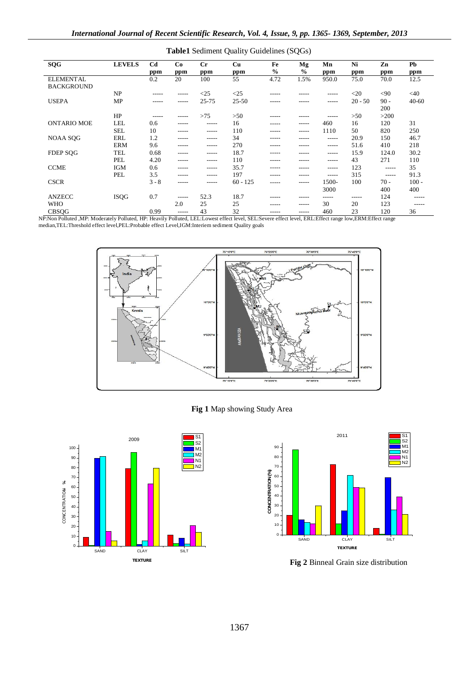| <b>SQG</b>                            | <b>LEVELS</b> | Cd<br>ppm | Co<br>ppm   | $C_{r}$<br>ppm | Cu<br>ppm  | Fe<br>$\frac{6}{6}$ | Mg<br>$\frac{0}{0}$ | Mn<br>ppm   | Ni<br>ppm | Zn<br>ppm     | Pb<br>ppm |
|---------------------------------------|---------------|-----------|-------------|----------------|------------|---------------------|---------------------|-------------|-----------|---------------|-----------|
| <b>ELEMENTAL</b><br><b>BACKGROUND</b> |               | 0.2       | 20          | 100            | 55         | 4.72                | 1.5%                | 950.0       | 75.0      | 70.0          | 12.5      |
|                                       | NP            | -----     | $- - - - -$ | <25            | <25        | -----               | -----               | $- - - - -$ | $<$ 20    | $90$          | $<$ 40    |
| <b>USEPA</b>                          | MP            | -----     | $- - - - -$ | 25-75          | $25 - 50$  | -----               | -----               | $- - - - -$ | $20 - 50$ | $90 -$<br>200 | $40 - 60$ |
|                                       | HP            | -----     | -----       | >75            | >50        | -----               | -----               | -----       | >50       | >200          |           |
| <b>ONTARIO MOE</b>                    | LEL           | 0.6       | -----       | -----          | 16         | -----               | -----               | 460         | 16        | 120           | 31        |
|                                       | <b>SEL</b>    | 10        | $- - - - -$ | $- - - - -$    | 110        | -----               | -----               | 1110        | 50        | 820           | 250       |
| NOAA SQG                              | ERL           | 1.2       | -----       | $- - - - -$    | 34         | -----               | -----               | $- - - - -$ | 20.9      | 150           | 46.7      |
|                                       | <b>ERM</b>    | 9.6       | $- - - - -$ | $- - - - -$    | 270        | -----               | -----               | $- - - - -$ | 51.6      | 410           | 218       |
| <b>FDEP SOG</b>                       | <b>TEL</b>    | 0.68      | -----       | -----          | 18.7       | -----               | -----               | $- - - - -$ | 15.9      | 124.0         | 30.2      |
|                                       | PEL           | 4.20      | $- - - - -$ | $- - - - -$    | 110        | -----               | -----               | $- - - - -$ | 43        | 271           | 110       |
| <b>CCME</b>                           | <b>IGM</b>    | 0.6       | $- - - - -$ | $- - - - -$    | 35.7       | -----               | -----               | $- - - - -$ | 123       | $- - - - -$   | 35        |
|                                       | PEL           | 3.5       | -----       | -----          | 197        | -----               | -----               | $- - - - -$ | 315       | $- - - - -$   | 91.3      |
| <b>CSCR</b>                           |               | $3 - 8$   | -----       | -----          | $60 - 125$ | -----               | -----               | 1500-       | 100       | $70 -$        | $100 -$   |
|                                       |               |           |             |                |            |                     |                     | 3000        |           | 400           | 400       |
| <b>ANZECC</b>                         | <b>ISQG</b>   | 0.7       | $- - - - -$ | 52.3           | 18.7       | -----               | -----               | -----       | -----     | 124           | -----     |
| <b>WHO</b>                            |               |           | 2.0         | 25             | 25         | -----               | $- - - - -$         | 30          | 20        | 123           | -----     |
| <b>CBSOG</b>                          |               | 0.99      | -----       | 43             | 32         | -----               | -----               | 460         | 23        | 120           | 36        |

**Table1** Sediment Quality Guidelines (SQGs)

NP:Non Polluted ,MP: Moderately Polluted, HP: Heavily Polluted, LEL:Lowest effect level, SEL:Severe effect level, ERL:Effect range low,ERM:Effect range median,TEL:Threshold effect level,PEL:Probable effect Level,IGM:Interiem sediment Quality goals



# **Fig 1** Map showing Study Area





**Fig 2** Binneal Grain size distribution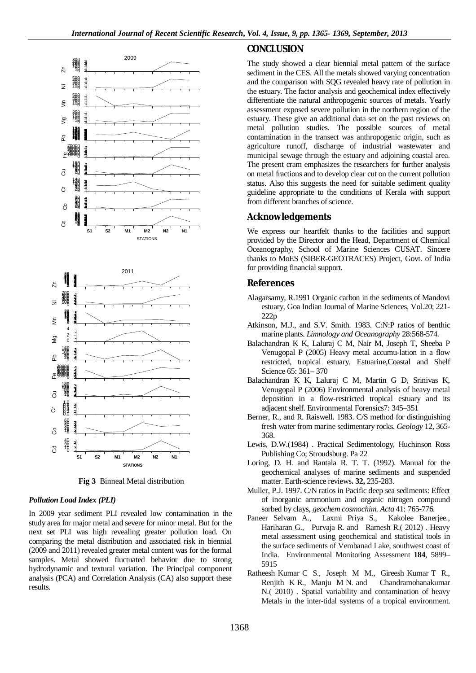

**Fig 3** Binneal Metal distribution

### *Pollution Load Index (PLI)*

In 2009 year sediment PLI revealed low contamination in the study area for major metal and severe for minor metal. But for the next set PLI was high revealing greater pollution load. On comparing the metal distribution and associated risk in biennial (2009 and 2011) revealed greater metal content was for the formal samples. Metal showed fluctuated behavior due to strong hydrodynamic and textural variation. The Principal component analysis (PCA) and Correlation Analysis (CA) also support these results.

# **CONCLUSION**

The study showed a clear biennial metal pattern of the surface sediment in the CES. All the metals showed varying concentration and the comparison with SQG revealed heavy rate of pollution in the estuary. The factor analysis and geochemical index effectively differentiate the natural anthropogenic sources of metals. Yearly assessment exposed severe pollution in the northern region of the estuary. These give an additional data set on the past reviews on metal pollution studies. The possible sources of metal contamination in the transect was anthropogenic origin, such as agriculture runoff, discharge of industrial wastewater and municipal sewage through the estuary and adjoining coastal area. The present cram emphasizes the researchers for further analysis on metal fractions and to develop clear cut on the current pollution status. Also this suggests the need for suitable sediment quality guideline appropriate to the conditions of Kerala with support from different branches of science.

## **Acknowledgements**

We express our heartfelt thanks to the facilities and support provided by the Director and the Head, Department of Chemical Oceanography, School of Marine Sciences CUSAT. Sincere thanks to MoES (SIBER-GEOTRACES) Project, Govt. of India for providing financial support.

## **References**

- Alagarsamy, R.1991 Organic carbon in the sediments of Mandovi estuary, Goa Indian Journal of Marine Sciences, Vol.20; 221- 222p
- Atkinson, M.J., and S.V. Smith. 1983. C:N:P ratios of benthic marine plants. *Limnology and Oceanography* 28:568-574.
- Balachandran K K, Laluraj C M, Nair M, Joseph T, Sheeba P Venugopal P (2005) Heavy metal accumu-lation in a flow restricted, tropical estuary. Estuarine,Coastal and Shelf Science 65: 361– 370
- Balachandran K K, Laluraj C M, Martin G D, Srinivas K, Venugopal P (2006) Environmental analysis of heavy metal deposition in a flow-restricted tropical estuary and its adjacent shelf. Environmental Forensics7: 345–351
- Berner, R., and R. Raiswell. 1983. C/S method for distinguishing fresh water from marine sedimentary rocks. *Geology* 12, 365- 368.
- Lewis, D.W.(1984) . Practical Sedimentology, Huchinson Ross Publishing Co; Stroudsburg. Pa 22
- Loring, D. H. and Rantala R. T. T. (1992). Manual for the geochemical analyses of marine sediments and suspended matter. Earth-science reviews**. 32,** 235-283.
- Muller, P.J. 1997. C/N ratios in Pacific deep sea sediments: Effect of inorganic ammonium and organic nitrogen compound sorbed by clays, *geochem cosmochim. Acta* 41: 765-776.
- Paneer Selvam A., Laxmi Priya S., Kakolee Banerjee., Hariharan G., Purvaja R. and Ramesh R.( 2012) . Heavy metal assessment using geochemical and statistical tools in the surface sediments of Vembanad Lake, southwest coast of India. Environmental Monitoring Assessment **184**, 5899– 5915
- Ratheesh Kumar C S., Joseph M M., Gireesh Kumar T R., Renjith K R., Manju M N. and Chandramohanakumar N.( 2010) . Spatial variability and contamination of heavy Metals in the inter-tidal systems of a tropical environment.